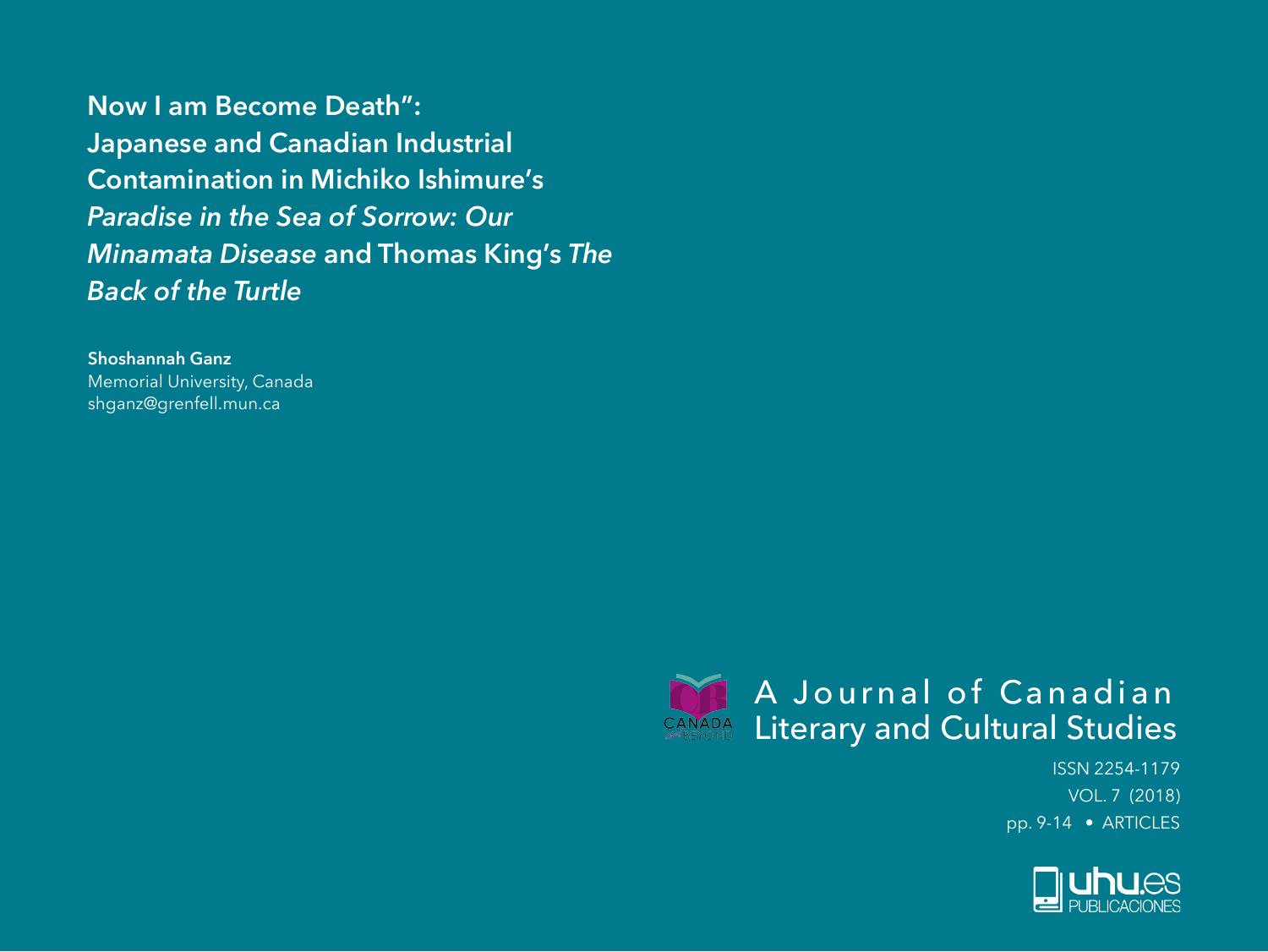**Now I am Become Death": Japanese and Canadian Industrial Contamination in Michiko Ishimure's**  *Paradise in the Sea of Sorrow: Our Minamata Disease* **and Thomas King's** *The Back of the Turtle*

**Shoshannah Ganz** Memorial University, Canada shganz@grenfell.mun.ca



ISSN 2254-1179 VOL. 7 (2018) pp. 9-14 • ARTICLES

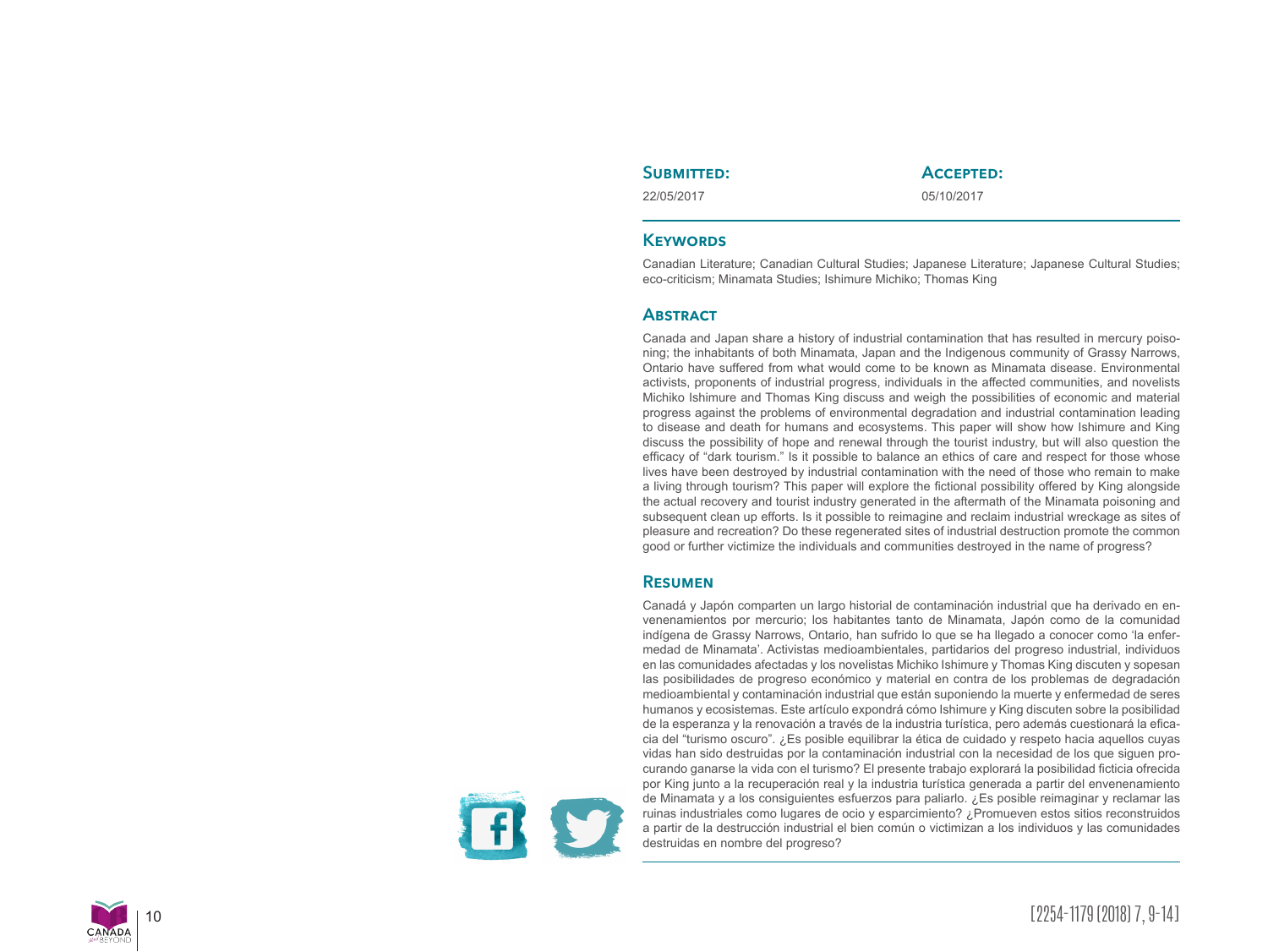## SUBMITTED:

# **Accepted:**

22/05/2017

05/10/2017

### **KEYWORDS**

Canadian Literature; Canadian Cultural Studies; Japanese Literature; Japanese Cultural Studies; eco-criticism; Minamata Studies; Ishimure Michiko; Thomas King

## **Abstract**

Canada and Japan share a history of industrial contamination that has resulted in mercury poiso ning; the inhabitants of both Minamata, Japan and the Indigenous community of Grassy Narrows, Ontario have suffered from what would come to be known as Minamata disease. Environmental activists, proponents of industrial progress, individuals in the affected communities, and novelists Michiko Ishimure and Thomas King discuss and weigh the possibilities of economic and material progress against the problems of environmental degradation and industrial contamination leading to disease and death for humans and ecosystems. This paper will show how Ishimure and King discuss the possibility of hope and renewal through the tourist industry, but will also question the efficacy of "dark tourism." Is it possible to balance an ethics of care and respect for those whose lives have been destroyed by industrial contamination with the need of those who remain to make a living through tourism? This paper will explore the fictional possibility offered by King alongside the actual recovery and tourist industry generated in the aftermath of the Minamata poisoning and subsequent clean up efforts. Is it possible to reimagine and reclaim industrial wreckage as sites of pleasure and recreation? Do these regenerated sites of industrial destruction promote the common good or further victimize the individuals and communities destroyed in the name of progress?

### **Resumen**

Canadá y Japón comparten un largo historial de contaminación industrial que ha derivado en en venenamientos por mercurio; los habitantes tanto de Minamata, Japón como de la comunidad indígena de Grassy Narrows, Ontario, han sufrido lo que se ha llegado a conocer como 'la enfer medad de Minamata'. Activistas medioambientales, partidarios del progreso industrial, individuos en las comunidades afectadas y los novelistas Michiko Ishimure y Thomas King discuten y sopesan las posibilidades de progreso económico y material en contra de los problemas de degradación medioambiental y contaminación industrial que están suponiendo la muerte y enfermedad de seres humanos y ecosistemas. Este artículo expondrá cómo Ishimure y King discuten sobre la posibilidad de la esperanza y la renovación a través de la industria turística, pero además cuestionará la efica cia del "turismo oscuro". ¿Es posible equilibrar la ética de cuidado y respeto hacia aquellos cuyas vidas han sido destruidas por la contaminación industrial con la necesidad de los que siguen pro curando ganarse la vida con el turismo? El presente trabajo explorará la posibilidad ficticia ofrecida por King junto a la recuperación real y la industria turística generada a partir del envenenamiento de Minamata y a los consiguientes esfuerzos para paliarlo. ¿Es posible reimaginar y reclamar las ruinas industriales como lugares de ocio y esparcimiento? ¿Promueven estos sitios reconstruidos a partir de la destrucción industrial el bien común o victimizan a los individuos y las comunidades destruidas en nombre del progreso?

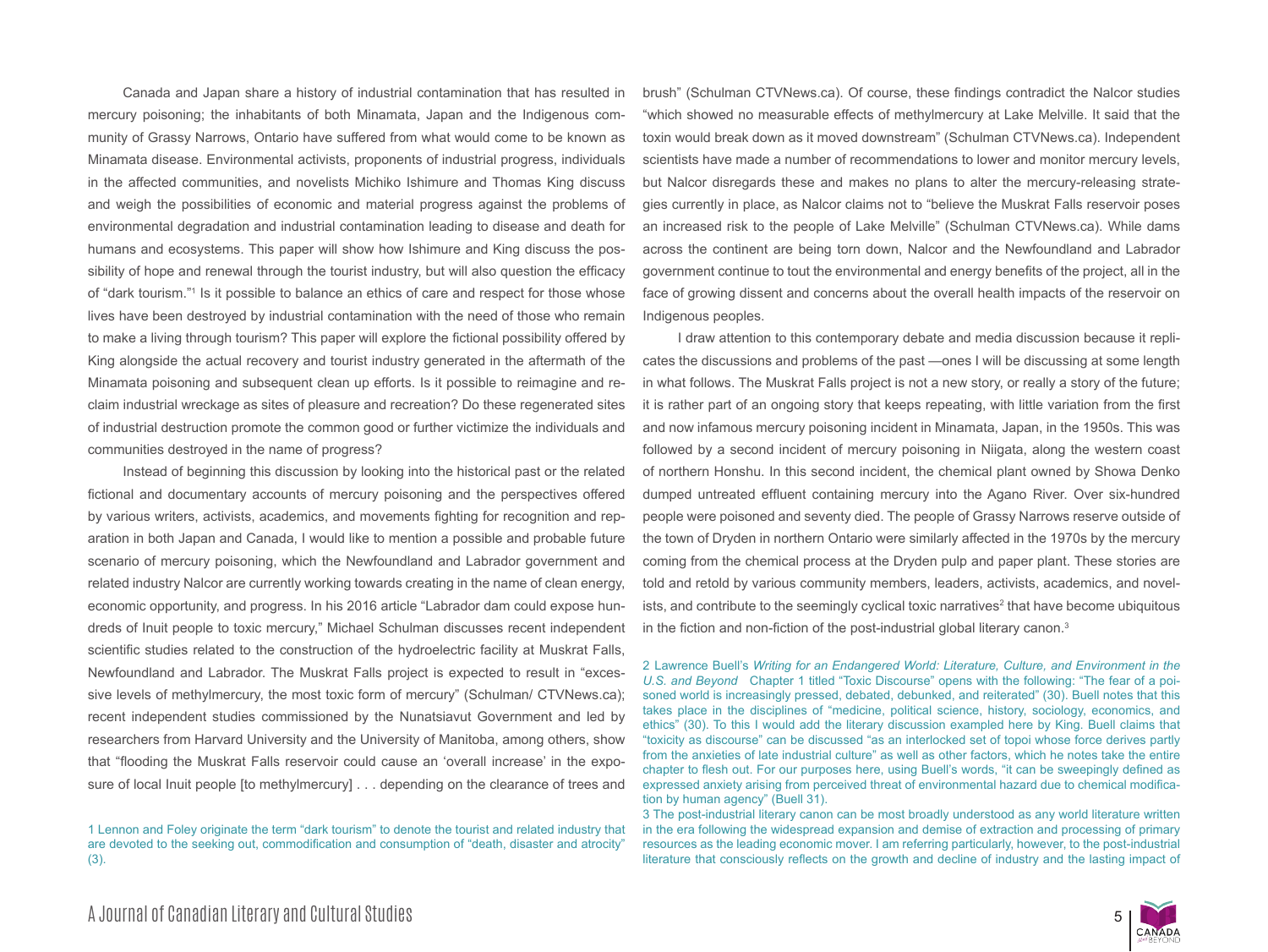Canada and Japan share a history of industrial contamination that has resulted in mercury poisoning; the inhabitants of both Minamata, Japan and the Indigenous community of Grassy Narrows, Ontario have suffered from what would come to be known as Minamata disease. Environmental activists, proponents of industrial progress, individuals in the affected communities, and novelists Michiko Ishimure and Thomas King discuss and weigh the possibilities of economic and material progress against the problems of environmental degradation and industrial contamination leading to disease and death for humans and ecosystems. This paper will show how Ishimure and King discuss the possibility of hope and renewal through the tourist industry, but will also question the efficacy of "dark tourism."<sup>1</sup> Is it possible to balance an ethics of care and respect for those whose lives have been destroyed by industrial contamination with the need of those who remain to make a living through tourism? This paper will explore the fictional possibility offered by King alongside the actual recovery and tourist industry generated in the aftermath of the Minamata poisoning and subsequent clean up efforts. Is it possible to reimagine and reclaim industrial wreckage as sites of pleasure and recreation? Do these regenerated sites of industrial destruction promote the common good or further victimize the individuals and communities destroyed in the name of progress?

Instead of beginning this discussion by looking into the historical past or the related fictional and documentary accounts of mercury poisoning and the perspectives offered by various writers, activists, academics, and movements fighting for recognition and reparation in both Japan and Canada, I would like to mention a possible and probable future scenario of mercury poisoning, which the Newfoundland and Labrador government and related industry Nalcor are currently working towards creating in the name of clean energy, economic opportunity, and progress. In his 2016 article "Labrador dam could expose hundreds of Inuit people to toxic mercury," Michael Schulman discusses recent independent scientific studies related to the construction of the hydroelectric facility at Muskrat Falls, Newfoundland and Labrador. The Muskrat Falls project is expected to result in "excessive levels of methylmercury, the most toxic form of mercury" (Schulman/ CTVNews.ca); recent independent studies commissioned by the Nunatsiavut Government and led by researchers from Harvard University and the University of Manitoba, among others, show that "flooding the Muskrat Falls reservoir could cause an 'overall increase' in the exposure of local Inuit people [to methylmercury] . . . depending on the clearance of trees and

1 Lennon and Foley originate the term "dark tourism" to denote the tourist and related industry that are devoted to the seeking out, commodification and consumption of "death, disaster and atrocity" (3).

brush" (Schulman CTVNews.ca). Of course, these findings contradict the Nalcor studies "which showed no measurable effects of methylmercury at Lake Melville. It said that the toxin would break down as it moved downstream" (Schulman CTVNews.ca). Independent scientists have made a number of recommendations to lower and monitor mercury levels, but Nalcor disregards these and makes no plans to alter the mercury-releasing strategies currently in place, as Nalcor claims not to "believe the Muskrat Falls reservoir poses an increased risk to the people of Lake Melville" (Schulman CTVNews.ca). While dams across the continent are being torn down, Nalcor and the Newfoundland and Labrador government continue to tout the environmental and energy benefits of the project, all in the face of growing dissent and concerns about the overall health impacts of the reservoir on Indigenous peoples.

I draw attention to this contemporary debate and media discussion because it replicates the discussions and problems of the past —ones I will be discussing at some length in what follows. The Muskrat Falls project is not a new story, or really a story of the future; it is rather part of an ongoing story that keeps repeating, with little variation from the first and now infamous mercury poisoning incident in Minamata, Japan, in the 1950s. This was followed by a second incident of mercury poisoning in Niigata, along the western coast of northern Honshu. In this second incident, the chemical plant owned by Showa Denko dumped untreated effluent containing mercury into the Agano River. Over six-hundred people were poisoned and seventy died. The people of Grassy Narrows reserve outside of the town of Dryden in northern Ontario were similarly affected in the 1970s by the mercury coming from the chemical process at the Dryden pulp and paper plant. These stories are told and retold by various community members, leaders, activists, academics, and novelists, and contribute to the seemingly cyclical toxic narratives<sup>2</sup> that have become ubiquitous in the fiction and non-fiction of the post-industrial global literary canon.3

2 Lawrence Buell's *Writing for an Endangered World: Literature, Culture, and Environment in the U.S. and Beyond* Chapter 1 titled "Toxic Discourse" opens with the following: "The fear of a poisoned world is increasingly pressed, debated, debunked, and reiterated" (30). Buell notes that this takes place in the disciplines of "medicine, political science, history, sociology, economics, and ethics" (30). To this I would add the literary discussion exampled here by King. Buell claims that "toxicity as discourse" can be discussed "as an interlocked set of topoi whose force derives partly from the anxieties of late industrial culture" as well as other factors, which he notes take the entire chapter to flesh out. For our purposes here, using Buell's words, "it can be sweepingly defined as expressed anxiety arising from perceived threat of environmental hazard due to chemical modification by human agency" (Buell 31).

3 The post-industrial literary canon can be most broadly understood as any world literature written in the era following the widespread expansion and demise of extraction and processing of primary resources as the leading economic mover. I am referring particularly, however, to the post-industrial literature that consciously reflects on the growth and decline of industry and the lasting impact of

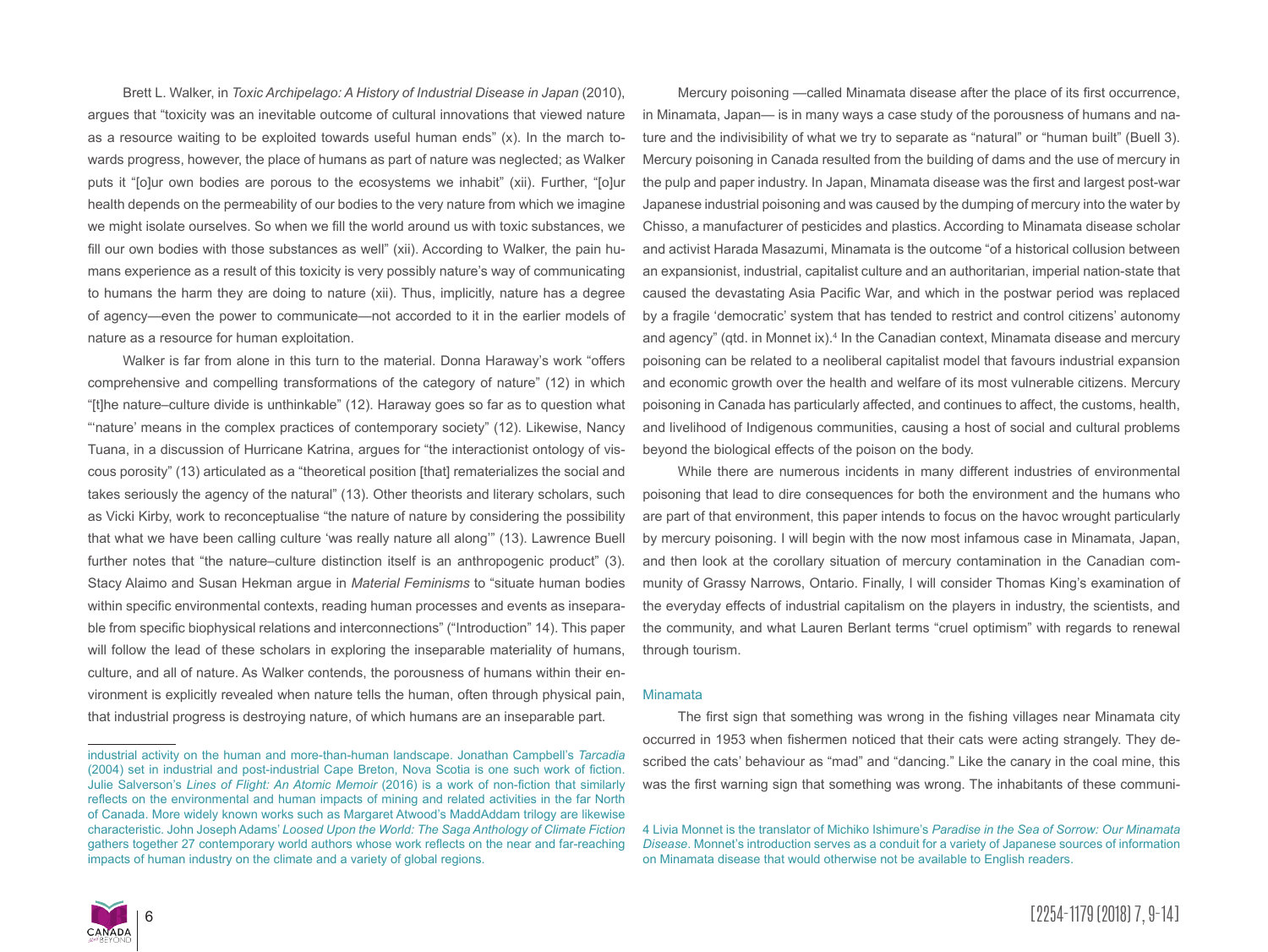Brett L. Walker, in *Toxic Archipelago: A History of Industrial Disease in Japan* (2010), argues that "toxicity was an inevitable outcome of cultural innovations that viewed nature as a resource waiting to be exploited towards useful human ends" (x). In the march towards progress, however, the place of humans as part of nature was neglected; as Walker puts it "[o]ur own bodies are porous to the ecosystems we inhabit" (xii). Further, "[o]ur health depends on the permeability of our bodies to the very nature from which we imagine we might isolate ourselves. So when we fill the world around us with toxic substances, we fill our own bodies with those substances as well" (xii). According to Walker, the pain humans experience as a result of this toxicity is very possibly nature's way of communicating to humans the harm they are doing to nature (xii). Thus, implicitly, nature has a degree of agency—even the power to communicate—not accorded to it in the earlier models of nature as a resource for human exploitation.

Walker is far from alone in this turn to the material. Donna Haraway's work "offers comprehensive and compelling transformations of the category of nature" (12) in which "[t]he nature–culture divide is unthinkable" (12). Haraway goes so far as to question what "'nature' means in the complex practices of contemporary society" (12). Likewise, Nancy Tuana, in a discussion of Hurricane Katrina, argues for "the interactionist ontology of viscous porosity" (13) articulated as a "theoretical position [that] rematerializes the social and takes seriously the agency of the natural" (13). Other theorists and literary scholars, such as Vicki Kirby, work to reconceptualise "the nature of nature by considering the possibility that what we have been calling culture 'was really nature all along'" (13). Lawrence Buell further notes that "the nature–culture distinction itself is an anthropogenic product" (3). Stacy Alaimo and Susan Hekman argue in *Material Feminisms* to "situate human bodies within specific environmental contexts, reading human processes and events as inseparable from specific biophysical relations and interconnections" ("Introduction" 14). This paper will follow the lead of these scholars in exploring the inseparable materiality of humans, culture, and all of nature. As Walker contends, the porousness of humans within their environment is explicitly revealed when nature tells the human, often through physical pain, that industrial progress is destroying nature, of which humans are an inseparable part.

Mercury poisoning —called Minamata disease after the place of its first occurrence, in Minamata, Japan— is in many ways a case study of the porousness of humans and nature and the indivisibility of what we try to separate as "natural" or "human built" (Buell 3). Mercury poisoning in Canada resulted from the building of dams and the use of mercury in the pulp and paper industry. In Japan, Minamata disease was the first and largest post-war Japanese industrial poisoning and was caused by the dumping of mercury into the water by Chisso, a manufacturer of pesticides and plastics. According to Minamata disease scholar and activist Harada Masazumi, Minamata is the outcome "of a historical collusion between an expansionist, industrial, capitalist culture and an authoritarian, imperial nation-state that caused the devastating Asia Pacific War, and which in the postwar period was replaced by a fragile 'democratic' system that has tended to restrict and control citizens' autonomy and agency" (qtd. in Monnet ix).<sup>4</sup> In the Canadian context, Minamata disease and mercury poisoning can be related to a neoliberal capitalist model that favours industrial expansion and economic growth over the health and welfare of its most vulnerable citizens. Mercury poisoning in Canada has particularly affected, and continues to affect, the customs, health, and livelihood of Indigenous communities, causing a host of social and cultural problems beyond the biological effects of the poison on the body.

While there are numerous incidents in many different industries of environmental poisoning that lead to dire consequences for both the environment and the humans who are part of that environment, this paper intends to focus on the havoc wrought particularly by mercury poisoning. I will begin with the now most infamous case in Minamata, Japan, and then look at the corollary situation of mercury contamination in the Canadian community of Grassy Narrows, Ontario. Finally, I will consider Thomas King's examination of the everyday effects of industrial capitalism on the players in industry, the scientists, and the community, and what Lauren Berlant terms "cruel optimism" with regards to renewal through tourism.

#### Minamata

The first sign that something was wrong in the fishing villages near Minamata city occurred in 1953 when fishermen noticed that their cats were acting strangely. They described the cats' behaviour as "mad" and "dancing." Like the canary in the coal mine, this was the first warning sign that something was wrong. The inhabitants of these communi-



industrial activity on the human and more-than-human landscape. Jonathan Campbell's *Tarcadia* (2004) set in industrial and post-industrial Cape Breton, Nova Scotia is one such work of fiction. Julie Salverson's *Lines of Flight: An Atomic Memoir* (2016) is a work of non-fiction that similarly reflects on the environmental and human impacts of mining and related activities in the far North of Canada. More widely known works such as Margaret Atwood's MaddAddam trilogy are likewise characteristic. John Joseph Adams' *Loosed Upon the World: The Saga Anthology of Climate Fiction* gathers together 27 contemporary world authors whose work reflects on the near and far-reaching impacts of human industry on the climate and a variety of global regions.

<sup>4</sup> Livia Monnet is the translator of Michiko Ishimure's *Paradise in the Sea of Sorrow: Our Minamata Disease*. Monnet's introduction serves as a conduit for a variety of Japanese sources of information on Minamata disease that would otherwise not be available to English readers.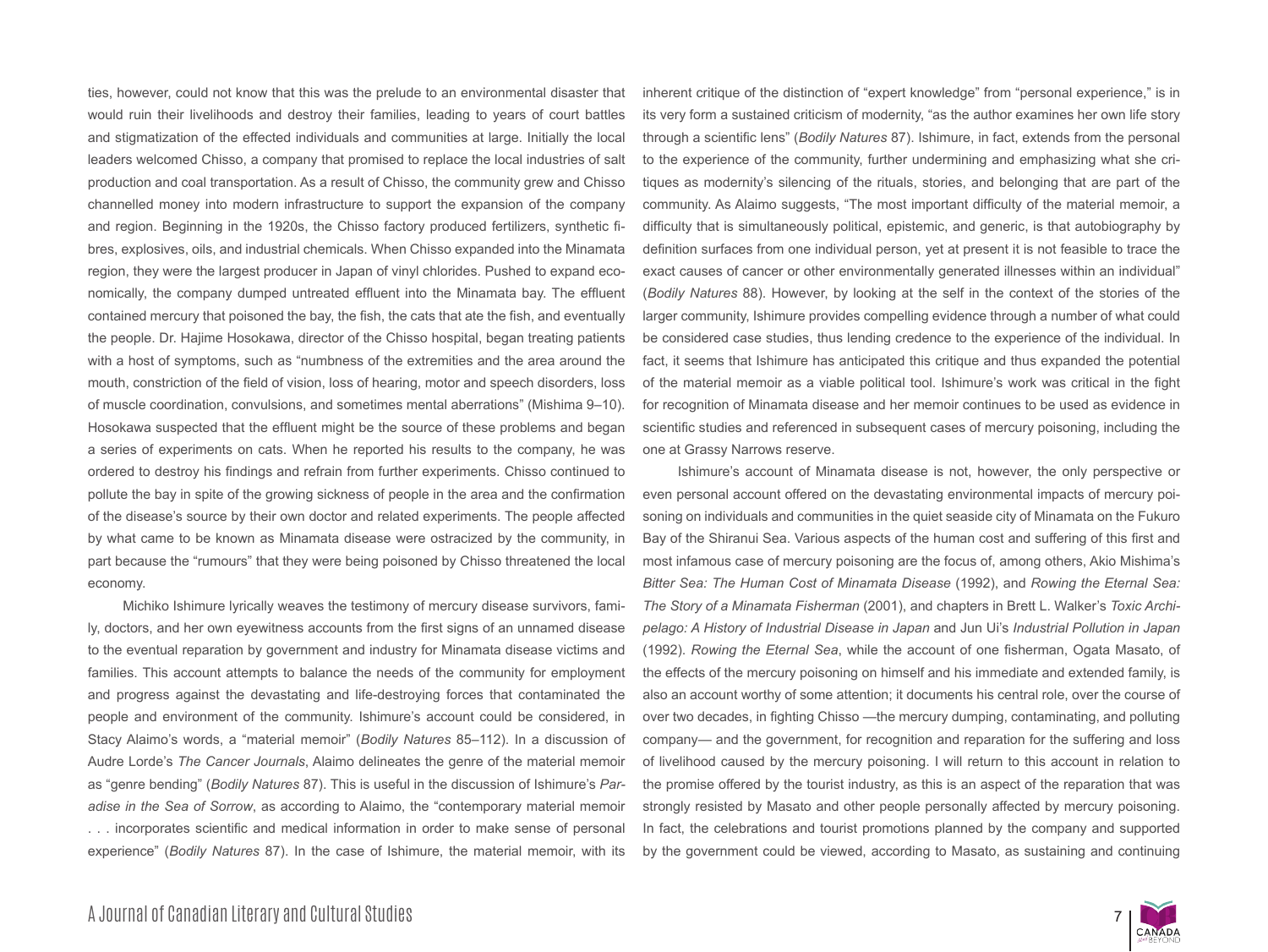ties, however, could not know that this was the prelude to an environmental disaster that would ruin their livelihoods and destroy their families, leading to years of court battles and stigmatization of the effected individuals and communities at large. Initially the local leaders welcomed Chisso, a company that promised to replace the local industries of salt production and coal transportation. As a result of Chisso, the community grew and Chisso channelled money into modern infrastructure to support the expansion of the company and region. Beginning in the 1920s, the Chisso factory produced fertilizers, synthetic fibres, explosives, oils, and industrial chemicals. When Chisso expanded into the Minamata region, they were the largest producer in Japan of vinyl chlorides. Pushed to expand economically, the company dumped untreated effluent into the Minamata bay. The effluent contained mercury that poisoned the bay, the fish, the cats that ate the fish, and eventually the people. Dr. Hajime Hosokawa, director of the Chisso hospital, began treating patients with a host of symptoms, such as "numbness of the extremities and the area around the mouth, constriction of the field of vision, loss of hearing, motor and speech disorders, loss of muscle coordination, convulsions, and sometimes mental aberrations" (Mishima 9–10). Hosokawa suspected that the effluent might be the source of these problems and began a series of experiments on cats. When he reported his results to the company, he was ordered to destroy his findings and refrain from further experiments. Chisso continued to pollute the bay in spite of the growing sickness of people in the area and the confirmation of the disease's source by their own doctor and related experiments. The people affected by what came to be known as Minamata disease were ostracized by the community, in part because the "rumours" that they were being poisoned by Chisso threatened the local economy.

Michiko Ishimure lyrically weaves the testimony of mercury disease survivors, family, doctors, and her own eyewitness accounts from the first signs of an unnamed disease to the eventual reparation by government and industry for Minamata disease victims and families. This account attempts to balance the needs of the community for employment and progress against the devastating and life-destroying forces that contaminated the people and environment of the community. Ishimure's account could be considered, in Stacy Alaimo's words, a "material memoir" (*Bodily Natures* 85–112). In a discussion of Audre Lorde's *The Cancer Journals*, Alaimo delineates the genre of the material memoir as "genre bending" (*Bodily Natures* 87). This is useful in the discussion of Ishimure's *Paradise in the Sea of Sorrow*, as according to Alaimo, the "contemporary material memoir . . . incorporates scientific and medical information in order to make sense of personal experience" (*Bodily Natures* 87). In the case of Ishimure, the material memoir, with its inherent critique of the distinction of "expert knowledge" from "personal experience," is in its very form a sustained criticism of modernity, "as the author examines her own life story through a scientific lens" (*Bodily Natures* 87). Ishimure, in fact, extends from the personal to the experience of the community, further undermining and emphasizing what she critiques as modernity's silencing of the rituals, stories, and belonging that are part of the community. As Alaimo suggests, "The most important difficulty of the material memoir, a difficulty that is simultaneously political, epistemic, and generic, is that autobiography by definition surfaces from one individual person, yet at present it is not feasible to trace the exact causes of cancer or other environmentally generated illnesses within an individual" (*Bodily Natures* 88). However, by looking at the self in the context of the stories of the larger community, Ishimure provides compelling evidence through a number of what could be considered case studies, thus lending credence to the experience of the individual. In fact, it seems that Ishimure has anticipated this critique and thus expanded the potential of the material memoir as a viable political tool. Ishimure's work was critical in the fight for recognition of Minamata disease and her memoir continues to be used as evidence in scientific studies and referenced in subsequent cases of mercury poisoning, including the one at Grassy Narrows reserve.

Ishimure's account of Minamata disease is not, however, the only perspective or even personal account offered on the devastating environmental impacts of mercury poisoning on individuals and communities in the quiet seaside city of Minamata on the Fukuro Bay of the Shiranui Sea. Various aspects of the human cost and suffering of this first and most infamous case of mercury poisoning are the focus of, among others, Akio Mishima's *Bitter Sea: The Human Cost of Minamata Disease* (1992), and *Rowing the Eternal Sea: The Story of a Minamata Fisherman* (2001), and chapters in Brett L. Walker's *Toxic Archipelago: A History of Industrial Disease in Japan* and Jun Ui's *Industrial Pollution in Japan*  (1992). *Rowing the Eternal Sea*, while the account of one fisherman, Ogata Masato, of the effects of the mercury poisoning on himself and his immediate and extended family, is also an account worthy of some attention; it documents his central role, over the course of over two decades, in fighting Chisso —the mercury dumping, contaminating, and polluting company— and the government, for recognition and reparation for the suffering and loss of livelihood caused by the mercury poisoning. I will return to this account in relation to the promise offered by the tourist industry, as this is an aspect of the reparation that was strongly resisted by Masato and other people personally affected by mercury poisoning. In fact, the celebrations and tourist promotions planned by the company and supported by the government could be viewed, according to Masato, as sustaining and continuing

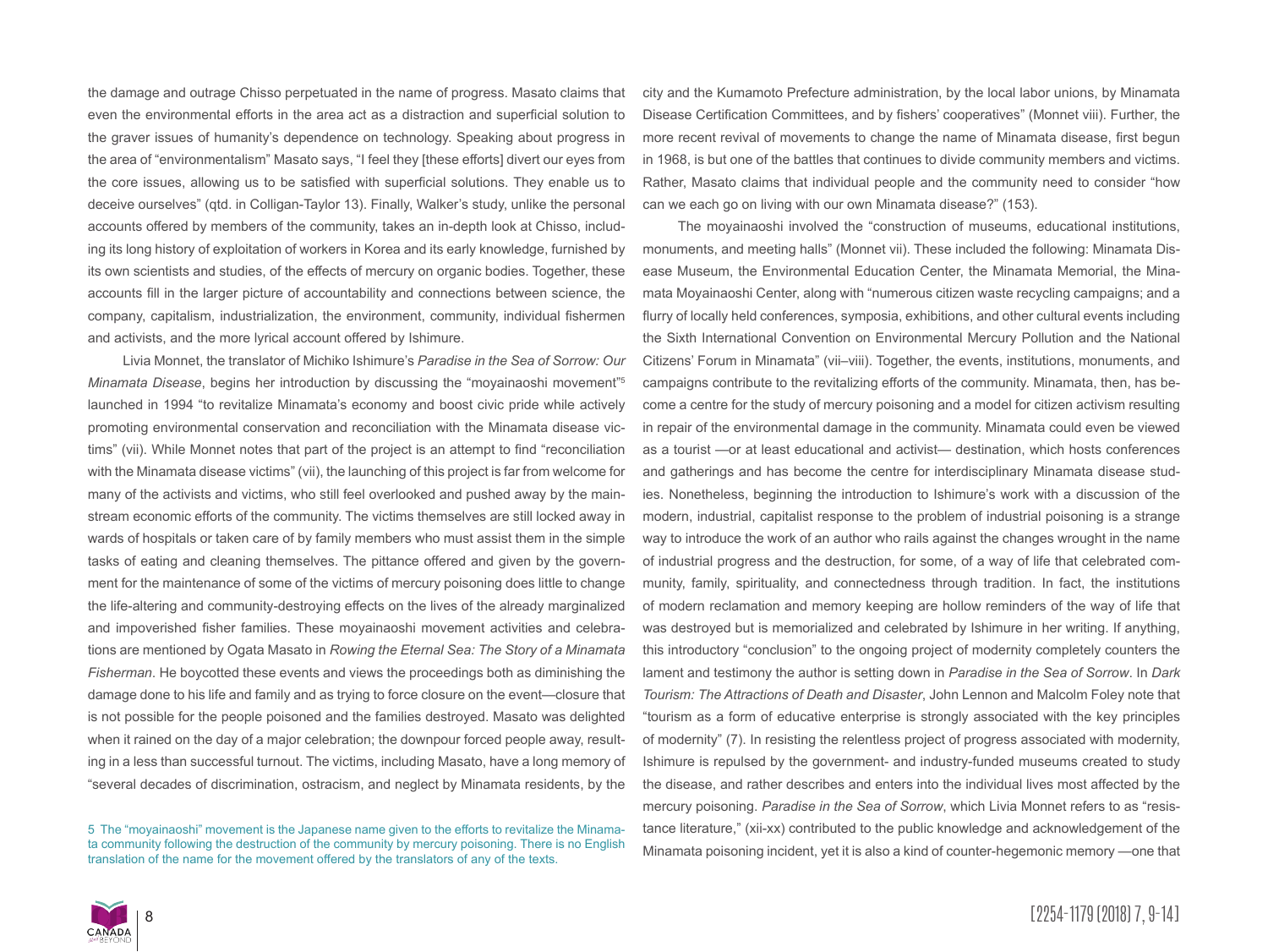the damage and outrage Chisso perpetuated in the name of progress. Masato claims that even the environmental efforts in the area act as a distraction and superficial solution to the graver issues of humanity's dependence on technology. Speaking about progress in the area of "environmentalism" Masato says, "I feel they [these efforts] divert our eyes from the core issues, allowing us to be satisfied with superficial solutions. They enable us to deceive ourselves" (qtd. in Colligan-Taylor 13). Finally, Walker's study, unlike the personal accounts offered by members of the community, takes an in-depth look at Chisso, including its long history of exploitation of workers in Korea and its early knowledge, furnished by its own scientists and studies, of the effects of mercury on organic bodies. Together, these accounts fill in the larger picture of accountability and connections between science, the company, capitalism, industrialization, the environment, community, individual fishermen and activists, and the more lyrical account offered by Ishimure.

Livia Monnet, the translator of Michiko Ishimure's *Paradise in the Sea of Sorrow: Our Minamata Disease*, begins her introduction by discussing the "moyainaoshi movement"<sup>5</sup> launched in 1994 "to revitalize Minamata's economy and boost civic pride while actively promoting environmental conservation and reconciliation with the Minamata disease victims" (vii). While Monnet notes that part of the project is an attempt to find "reconciliation with the Minamata disease victims" (vii), the launching of this project is far from welcome for many of the activists and victims, who still feel overlooked and pushed away by the mainstream economic efforts of the community. The victims themselves are still locked away in wards of hospitals or taken care of by family members who must assist them in the simple tasks of eating and cleaning themselves. The pittance offered and given by the government for the maintenance of some of the victims of mercury poisoning does little to change the life-altering and community-destroying effects on the lives of the already marginalized and impoverished fisher families. These moyainaoshi movement activities and celebrations are mentioned by Ogata Masato in *Rowing the Eternal Sea: The Story of a Minamata Fisherman*. He boycotted these events and views the proceedings both as diminishing the damage done to his life and family and as trying to force closure on the event—closure that is not possible for the people poisoned and the families destroyed. Masato was delighted when it rained on the day of a major celebration; the downpour forced people away, resulting in a less than successful turnout. The victims, including Masato, have a long memory of "several decades of discrimination, ostracism, and neglect by Minamata residents, by the

5 The "moyainaoshi" movement is the Japanese name given to the efforts to revitalize the Minamata community following the destruction of the community by mercury poisoning. There is no English translation of the name for the movement offered by the translators of any of the texts.

city and the Kumamoto Prefecture administration, by the local labor unions, by Minamata Disease Certification Committees, and by fishers' cooperatives" (Monnet viii). Further, the more recent revival of movements to change the name of Minamata disease, first begun in 1968, is but one of the battles that continues to divide community members and victims. Rather, Masato claims that individual people and the community need to consider "how can we each go on living with our own Minamata disease?" (153).

The moyainaoshi involved the "construction of museums, educational institutions, monuments, and meeting halls" (Monnet vii). These included the following: Minamata Disease Museum, the Environmental Education Center, the Minamata Memorial, the Minamata Moyainaoshi Center, along with "numerous citizen waste recycling campaigns; and a flurry of locally held conferences, symposia, exhibitions, and other cultural events including the Sixth International Convention on Environmental Mercury Pollution and the National Citizens' Forum in Minamata" (vii–viii). Together, the events, institutions, monuments, and campaigns contribute to the revitalizing efforts of the community. Minamata, then, has become a centre for the study of mercury poisoning and a model for citizen activism resulting in repair of the environmental damage in the community. Minamata could even be viewed as a tourist —or at least educational and activist— destination, which hosts conferences and gatherings and has become the centre for interdisciplinary Minamata disease studies. Nonetheless, beginning the introduction to Ishimure's work with a discussion of the modern, industrial, capitalist response to the problem of industrial poisoning is a strange way to introduce the work of an author who rails against the changes wrought in the name of industrial progress and the destruction, for some, of a way of life that celebrated community, family, spirituality, and connectedness through tradition. In fact, the institutions of modern reclamation and memory keeping are hollow reminders of the way of life that was destroyed but is memorialized and celebrated by Ishimure in her writing. If anything, this introductory "conclusion" to the ongoing project of modernity completely counters the lament and testimony the author is setting down in *Paradise in the Sea of Sorrow*. In *Dark Tourism: The Attractions of Death and Disaster*, John Lennon and Malcolm Foley note that "tourism as a form of educative enterprise is strongly associated with the key principles of modernity" (7). In resisting the relentless project of progress associated with modernity, Ishimure is repulsed by the government- and industry-funded museums created to study the disease, and rather describes and enters into the individual lives most affected by the mercury poisoning. *Paradise in the Sea of Sorrow*, which Livia Monnet refers to as "resistance literature," (xii-xx) contributed to the public knowledge and acknowledgement of the Minamata poisoning incident, yet it is also a kind of counter-hegemonic memory —one that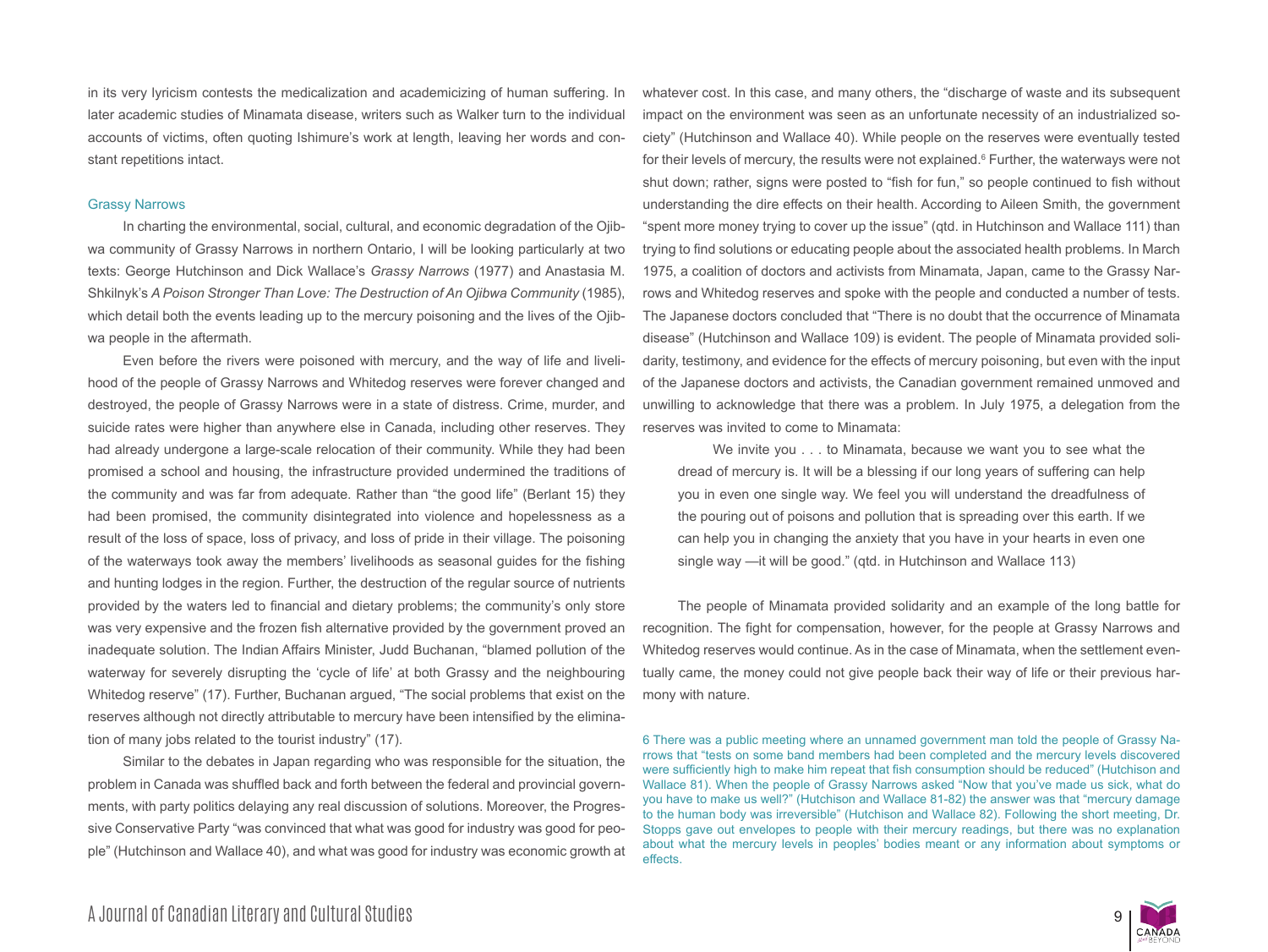in its very lyricism contests the medicalization and academicizing of human suffering. In later academic studies of Minamata disease, writers such as Walker turn to the individual accounts of victims, often quoting Ishimure's work at length, leaving her words and constant repetitions intact.

#### Grassy Narrows

In charting the environmental, social, cultural, and economic degradation of the Ojibwa community of Grassy Narrows in northern Ontario, I will be looking particularly at two texts: George Hutchinson and Dick Wallace's *Grassy Narrows* (1977) and Anastasia M. Shkilnyk's *A Poison Stronger Than Love: The Destruction of An Ojibwa Community* (1985), which detail both the events leading up to the mercury poisoning and the lives of the Ojibwa people in the aftermath.

Even before the rivers were poisoned with mercury, and the way of life and livelihood of the people of Grassy Narrows and Whitedog reserves were forever changed and destroyed, the people of Grassy Narrows were in a state of distress. Crime, murder, and suicide rates were higher than anywhere else in Canada, including other reserves. They had already undergone a large-scale relocation of their community. While they had been promised a school and housing, the infrastructure provided undermined the traditions of the community and was far from adequate. Rather than "the good life" (Berlant 15) they had been promised, the community disintegrated into violence and hopelessness as a result of the loss of space, loss of privacy, and loss of pride in their village. The poisoning of the waterways took away the members' livelihoods as seasonal guides for the fishing and hunting lodges in the region. Further, the destruction of the regular source of nutrients provided by the waters led to financial and dietary problems; the community's only store was very expensive and the frozen fish alternative provided by the government proved an inadequate solution. The Indian Affairs Minister, Judd Buchanan, "blamed pollution of the waterway for severely disrupting the 'cycle of life' at both Grassy and the neighbouring Whitedog reserve" (17). Further, Buchanan argued, "The social problems that exist on the reserves although not directly attributable to mercury have been intensified by the elimination of many jobs related to the tourist industry" (17).

Similar to the debates in Japan regarding who was responsible for the situation, the problem in Canada was shuffled back and forth between the federal and provincial governments, with party politics delaying any real discussion of solutions. Moreover, the Progressive Conservative Party "was convinced that what was good for industry was good for people" (Hutchinson and Wallace 40), and what was good for industry was economic growth at whatever cost. In this case, and many others, the "discharge of waste and its subsequent impact on the environment was seen as an unfortunate necessity of an industrialized society" (Hutchinson and Wallace 40). While people on the reserves were eventually tested for their levels of mercury, the results were not explained.<sup>6</sup> Further, the waterways were not shut down; rather, signs were posted to "fish for fun," so people continued to fish without understanding the dire effects on their health. According to Aileen Smith, the government "spent more money trying to cover up the issue" (qtd. in Hutchinson and Wallace 111) than trying to find solutions or educating people about the associated health problems. In March 1975, a coalition of doctors and activists from Minamata, Japan, came to the Grassy Narrows and Whitedog reserves and spoke with the people and conducted a number of tests. The Japanese doctors concluded that "There is no doubt that the occurrence of Minamata disease" (Hutchinson and Wallace 109) is evident. The people of Minamata provided solidarity, testimony, and evidence for the effects of mercury poisoning, but even with the input of the Japanese doctors and activists, the Canadian government remained unmoved and unwilling to acknowledge that there was a problem. In July 1975, a delegation from the reserves was invited to come to Minamata:

We invite you . . . to Minamata, because we want you to see what the dread of mercury is. It will be a blessing if our long years of suffering can help you in even one single way. We feel you will understand the dreadfulness of the pouring out of poisons and pollution that is spreading over this earth. If we can help you in changing the anxiety that you have in your hearts in even one single way —it will be good." (qtd. in Hutchinson and Wallace 113)

The people of Minamata provided solidarity and an example of the long battle for recognition. The fight for compensation, however, for the people at Grassy Narrows and Whitedog reserves would continue. As in the case of Minamata, when the settlement eventually came, the money could not give people back their way of life or their previous harmony with nature.

6 There was a public meeting where an unnamed government man told the people of Grassy Narrows that "tests on some band members had been completed and the mercury levels discovered were sufficiently high to make him repeat that fish consumption should be reduced" (Hutchison and Wallace 81). When the people of Grassy Narrows asked "Now that you've made us sick, what do you have to make us well?" (Hutchison and Wallace 81-82) the answer was that "mercury damage to the human body was irreversible" (Hutchison and Wallace 82). Following the short meeting, Dr. Stopps gave out envelopes to people with their mercury readings, but there was no explanation about what the mercury levels in peoples' bodies meant or any information about symptoms or effects.

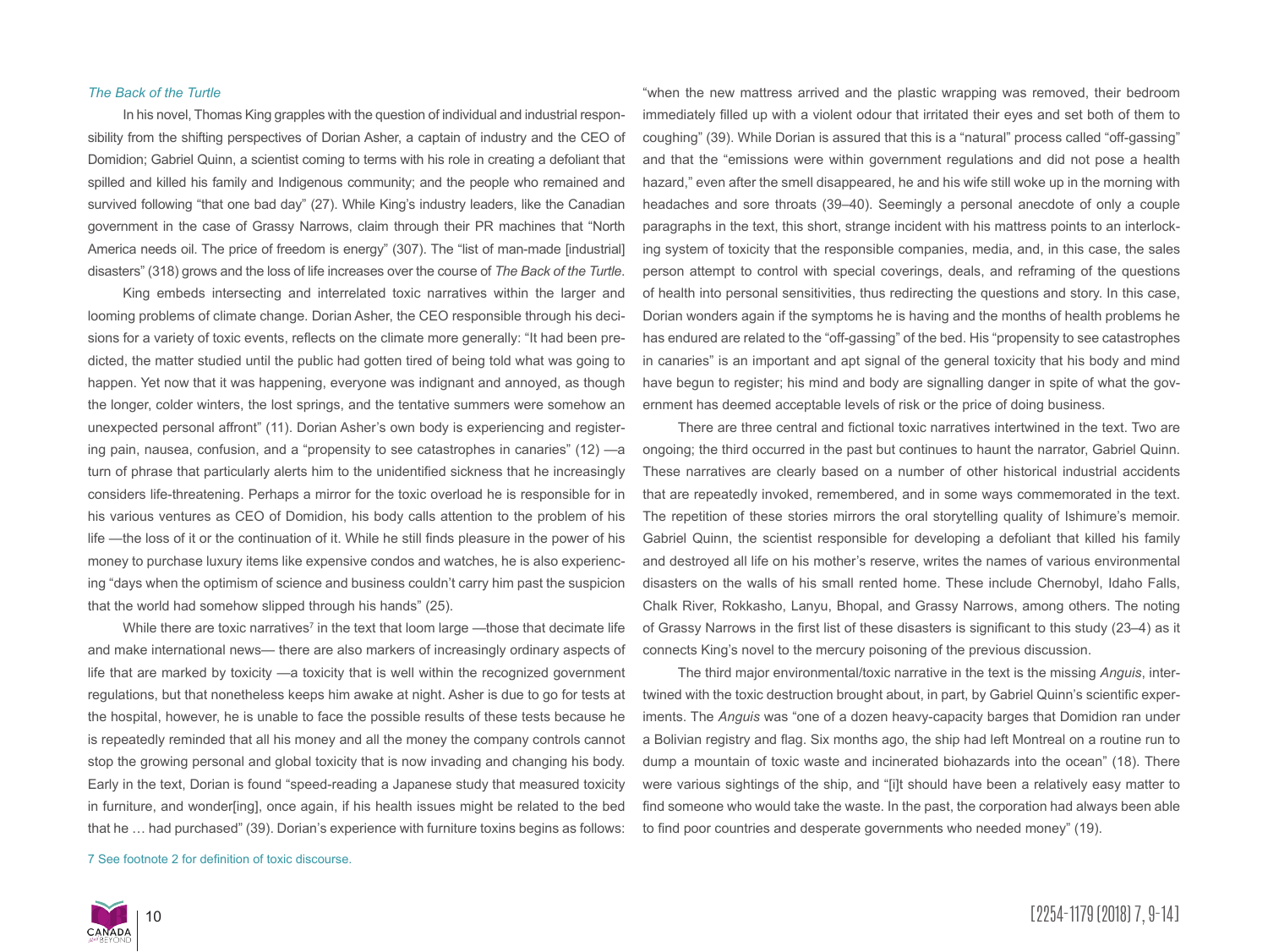#### *The Back of the Turtle*

In his novel, Thomas King grapples with the question of individual and industrial responsibility from the shifting perspectives of Dorian Asher, a captain of industry and the CEO of Domidion; Gabriel Quinn, a scientist coming to terms with his role in creating a defoliant that spilled and killed his family and Indigenous community; and the people who remained and survived following "that one bad day" (27). While King's industry leaders, like the Canadian government in the case of Grassy Narrows, claim through their PR machines that "North America needs oil. The price of freedom is energy" (307). The "list of man-made [industrial] disasters" (318) grows and the loss of life increases over the course of *The Back of the Turtle*.

King embeds intersecting and interrelated toxic narratives within the larger and looming problems of climate change. Dorian Asher, the CEO responsible through his decisions for a variety of toxic events, reflects on the climate more generally: "It had been predicted, the matter studied until the public had gotten tired of being told what was going to happen. Yet now that it was happening, everyone was indignant and annoyed, as though the longer, colder winters, the lost springs, and the tentative summers were somehow an unexpected personal affront" (11). Dorian Asher's own body is experiencing and registering pain, nausea, confusion, and a "propensity to see catastrophes in canaries" (12) —a turn of phrase that particularly alerts him to the unidentified sickness that he increasingly considers life-threatening. Perhaps a mirror for the toxic overload he is responsible for in his various ventures as CEO of Domidion, his body calls attention to the problem of his life —the loss of it or the continuation of it. While he still finds pleasure in the power of his money to purchase luxury items like expensive condos and watches, he is also experiencing "days when the optimism of science and business couldn't carry him past the suspicion that the world had somehow slipped through his hands" (25).

While there are toxic narratives<sup>7</sup> in the text that loom large —those that decimate life and make international news— there are also markers of increasingly ordinary aspects of life that are marked by toxicity —a toxicity that is well within the recognized government regulations, but that nonetheless keeps him awake at night. Asher is due to go for tests at the hospital, however, he is unable to face the possible results of these tests because he is repeatedly reminded that all his money and all the money the company controls cannot stop the growing personal and global toxicity that is now invading and changing his body. Early in the text, Dorian is found "speed-reading a Japanese study that measured toxicity in furniture, and wonder[ing], once again, if his health issues might be related to the bed that he … had purchased" (39). Dorian's experience with furniture toxins begins as follows:

7 See footnote 2 for definition of toxic discourse.

"when the new mattress arrived and the plastic wrapping was removed, their bedroom immediately filled up with a violent odour that irritated their eyes and set both of them to coughing" (39). While Dorian is assured that this is a "natural" process called "off-gassing" and that the "emissions were within government regulations and did not pose a health hazard," even after the smell disappeared, he and his wife still woke up in the morning with headaches and sore throats (39–40). Seemingly a personal anecdote of only a couple paragraphs in the text, this short, strange incident with his mattress points to an interlocking system of toxicity that the responsible companies, media, and, in this case, the sales person attempt to control with special coverings, deals, and reframing of the questions of health into personal sensitivities, thus redirecting the questions and story. In this case, Dorian wonders again if the symptoms he is having and the months of health problems he has endured are related to the "off-gassing" of the bed. His "propensity to see catastrophes in canaries" is an important and apt signal of the general toxicity that his body and mind have begun to register; his mind and body are signalling danger in spite of what the government has deemed acceptable levels of risk or the price of doing business.

There are three central and fictional toxic narratives intertwined in the text. Two are ongoing; the third occurred in the past but continues to haunt the narrator, Gabriel Quinn. These narratives are clearly based on a number of other historical industrial accidents that are repeatedly invoked, remembered, and in some ways commemorated in the text. The repetition of these stories mirrors the oral storytelling quality of Ishimure's memoir. Gabriel Quinn, the scientist responsible for developing a defoliant that killed his family and destroyed all life on his mother's reserve, writes the names of various environmental disasters on the walls of his small rented home. These include Chernobyl, Idaho Falls, Chalk River, Rokkasho, Lanyu, Bhopal, and Grassy Narrows, among others. The noting of Grassy Narrows in the first list of these disasters is significant to this study (23–4) as it connects King's novel to the mercury poisoning of the previous discussion.

The third major environmental/toxic narrative in the text is the missing *Anguis*, intertwined with the toxic destruction brought about, in part, by Gabriel Quinn's scientific experiments. The *Anguis* was "one of a dozen heavy-capacity barges that Domidion ran under a Bolivian registry and flag. Six months ago, the ship had left Montreal on a routine run to dump a mountain of toxic waste and incinerated biohazards into the ocean" (18). There were various sightings of the ship, and "[i]t should have been a relatively easy matter to find someone who would take the waste. In the past, the corporation had always been able to find poor countries and desperate governments who needed money" (19).

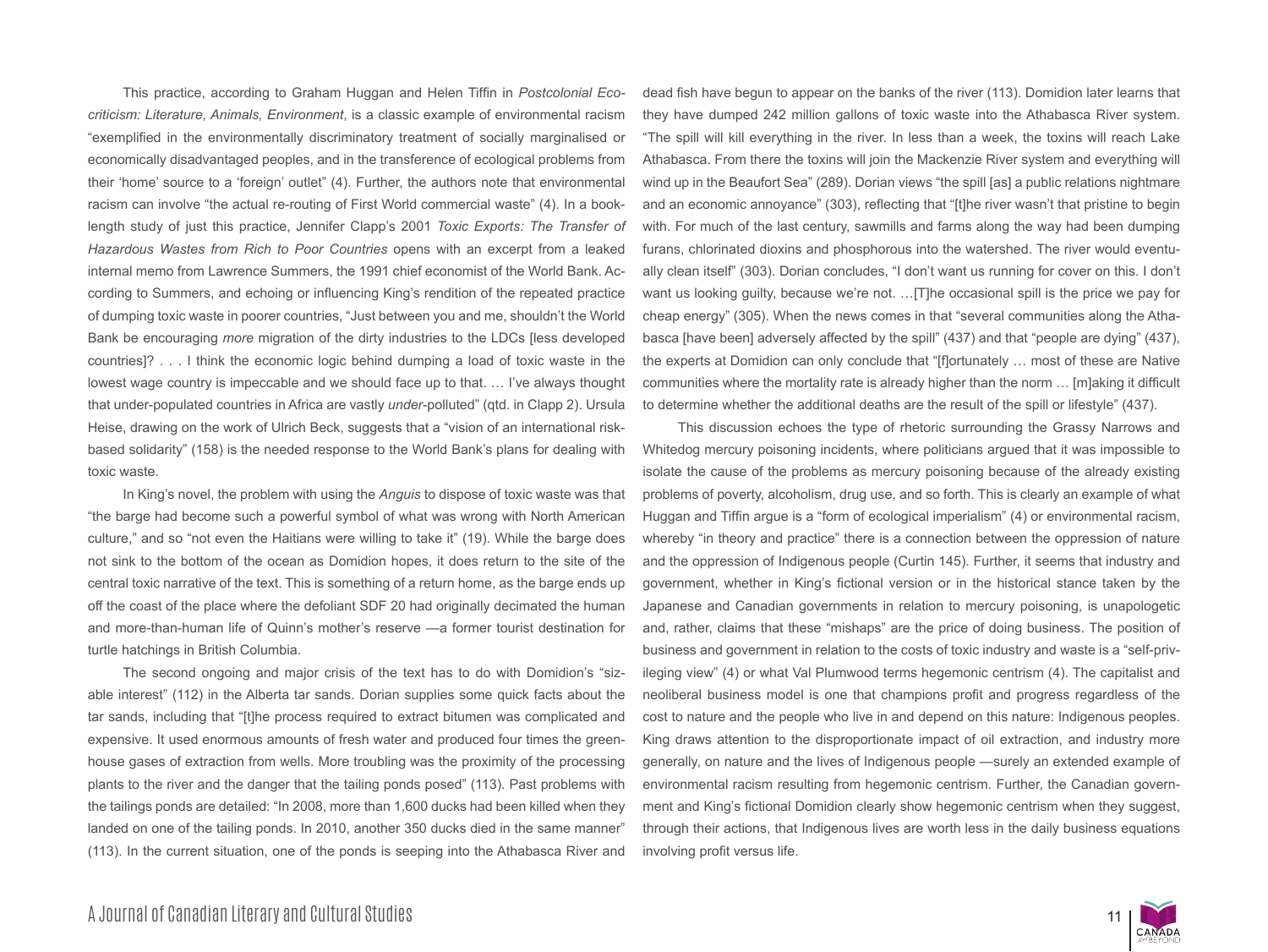This practice, according to Graham Huggan and Helen Tiffin in *Postcolonial Ecocriticism: Literature, Animals, Environment*, is a classic example of environmental racism "exemplified in the environmentally discriminatory treatment of socially marginalised or economically disadvantaged peoples, and in the transference of ecological problems from their 'home' source to a 'foreign' outlet" (4). Further, the authors note that environmental racism can involve "the actual re-routing of First World commercial waste" (4). In a booklength study of just this practice, Jennifer Clapp's 2001 *Toxic Exports: The Transfer of Hazardous Wastes from Rich to Poor Countries* opens with an excerpt from a leaked internal memo from Lawrence Summers, the 1991 chief economist of the World Bank. According to Summers, and echoing or influencing King's rendition of the repeated practice of dumping toxic waste in poorer countries, "Just between you and me, shouldn't the World Bank be encouraging *more* migration of the dirty industries to the LDCs [less developed countries]? . . . I think the economic logic behind dumping a load of toxic waste in the lowest wage country is impeccable and we should face up to that. … I've always thought that under-populated countries in Africa are vastly *under*-polluted" (qtd. in Clapp 2). Ursula Heise, drawing on the work of Ulrich Beck, suggests that a "vision of an international riskbased solidarity" (158) is the needed response to the World Bank's plans for dealing with toxic waste.

In King's novel, the problem with using the *Anguis* to dispose of toxic waste was that "the barge had become such a powerful symbol of what was wrong with North American culture," and so "not even the Haitians were willing to take it" (19). While the barge does not sink to the bottom of the ocean as Domidion hopes, it does return to the site of the central toxic narrative of the text. This is something of a return home, as the barge ends up off the coast of the place where the defoliant SDF 20 had originally decimated the human and more-than-human life of Quinn's mother's reserve —a former tourist destination for turtle hatchings in British Columbia.

The second ongoing and major crisis of the text has to do with Domidion's "sizable interest" (112) in the Alberta tar sands. Dorian supplies some quick facts about the tar sands, including that "[t]he process required to extract bitumen was complicated and expensive. It used enormous amounts of fresh water and produced four times the greenhouse gases of extraction from wells. More troubling was the proximity of the processing plants to the river and the danger that the tailing ponds posed" (113). Past problems with the tailings ponds are detailed: "In 2008, more than 1,600 ducks had been killed when they landed on one of the tailing ponds. In 2010, another 350 ducks died in the same manner" (113). In the current situation, one of the ponds is seeping into the Athabasca River and dead fish have begun to appear on the banks of the river (113). Domidion later learns that they have dumped 242 million gallons of toxic waste into the Athabasca River system. "The spill will kill everything in the river. In less than a week, the toxins will reach Lake Athabasca. From there the toxins will join the Mackenzie River system and everything will wind up in the Beaufort Sea" (289). Dorian views "the spill [as] a public relations nightmare and an economic annoyance" (303), reflecting that "[t]he river wasn't that pristine to begin with. For much of the last century, sawmills and farms along the way had been dumping furans, chlorinated dioxins and phosphorous into the watershed. The river would eventually clean itself" (303). Dorian concludes, "I don't want us running for cover on this. I don't want us looking guilty, because we're not. …[T]he occasional spill is the price we pay for cheap energy" (305). When the news comes in that "several communities along the Athabasca [have been] adversely affected by the spill" (437) and that "people are dying" (437), the experts at Domidion can only conclude that "[f]ortunately … most of these are Native communities where the mortality rate is already higher than the norm … [m]aking it difficult to determine whether the additional deaths are the result of the spill or lifestyle" (437).

This discussion echoes the type of rhetoric surrounding the Grassy Narrows and Whitedog mercury poisoning incidents, where politicians argued that it was impossible to isolate the cause of the problems as mercury poisoning because of the already existing problems of poverty, alcoholism, drug use, and so forth. This is clearly an example of what Huggan and Tiffin argue is a "form of ecological imperialism" (4) or environmental racism, whereby "in theory and practice" there is a connection between the oppression of nature and the oppression of Indigenous people (Curtin 145). Further, it seems that industry and government, whether in King's fictional version or in the historical stance taken by the Japanese and Canadian governments in relation to mercury poisoning, is unapologetic and, rather, claims that these "mishaps" are the price of doing business. The position of business and government in relation to the costs of toxic industry and waste is a "self-privileging view" (4) or what Val Plumwood terms hegemonic centrism (4). The capitalist and neoliberal business model is one that champions profit and progress regardless of the cost to nature and the people who live in and depend on this nature: Indigenous peoples. King draws attention to the disproportionate impact of oil extraction, and industry more generally, on nature and the lives of Indigenous people —surely an extended example of environmental racism resulting from hegemonic centrism. Further, the Canadian government and King's fictional Domidion clearly show hegemonic centrism when they suggest, through their actions, that Indigenous lives are worth less in the daily business equations involving profit versus life.

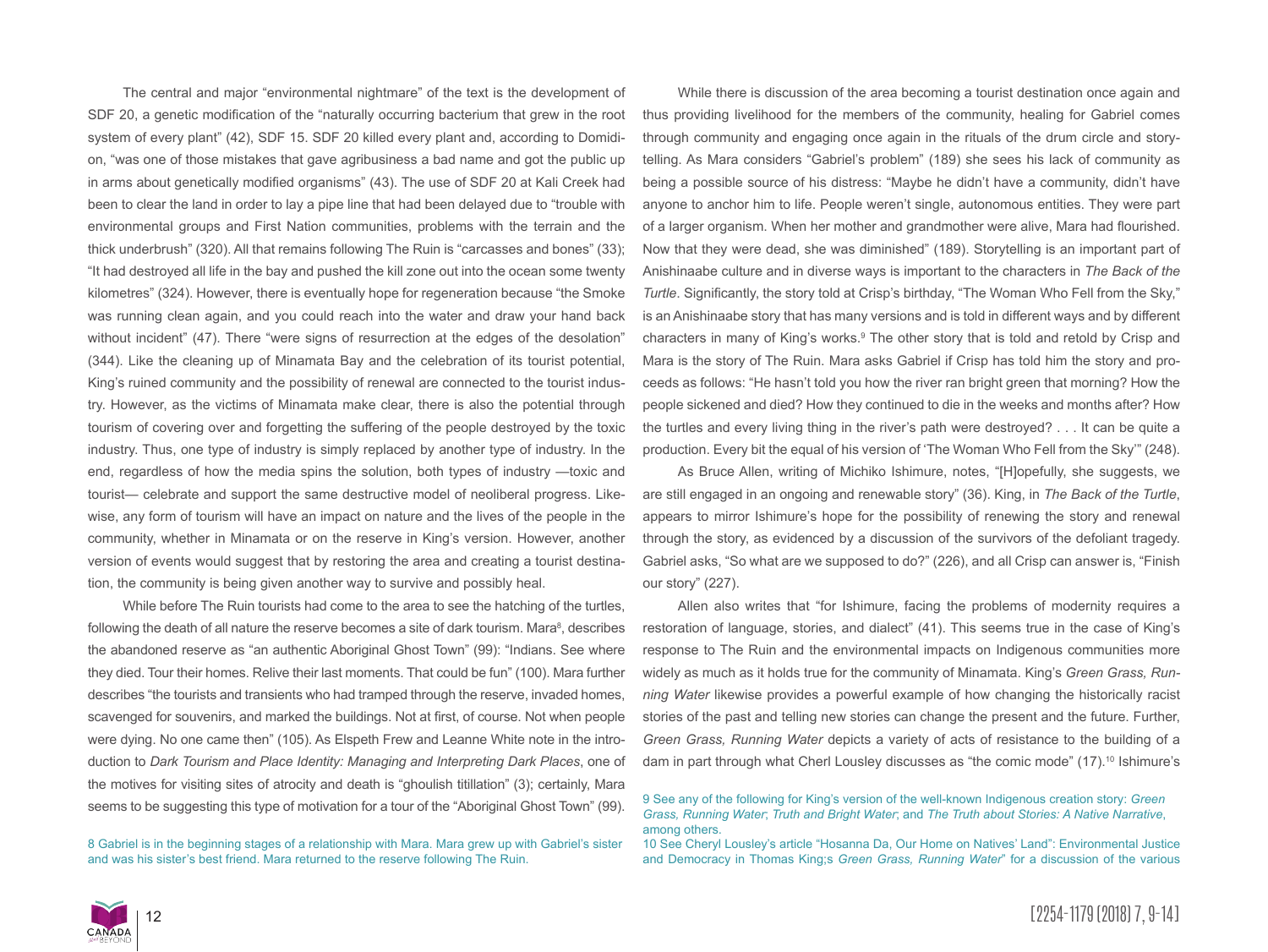The central and major "environmental nightmare" of the text is the development of SDF 20, a genetic modification of the "naturally occurring bacterium that grew in the root system of every plant" (42), SDF 15. SDF 20 killed every plant and, according to Domidion, "was one of those mistakes that gave agribusiness a bad name and got the public up in arms about genetically modified organisms" (43). The use of SDF 20 at Kali Creek had been to clear the land in order to lay a pipe line that had been delayed due to "trouble with environmental groups and First Nation communities, problems with the terrain and the thick underbrush" (320). All that remains following The Ruin is "carcasses and bones" (33); "It had destroyed all life in the bay and pushed the kill zone out into the ocean some twenty kilometres" (324). However, there is eventually hope for regeneration because "the Smoke was running clean again, and you could reach into the water and draw your hand back without incident" (47). There "were signs of resurrection at the edges of the desolation" (344). Like the cleaning up of Minamata Bay and the celebration of its tourist potential, King's ruined community and the possibility of renewal are connected to the tourist industry. However, as the victims of Minamata make clear, there is also the potential through tourism of covering over and forgetting the suffering of the people destroyed by the toxic industry. Thus, one type of industry is simply replaced by another type of industry. In the end, regardless of how the media spins the solution, both types of industry —toxic and tourist— celebrate and support the same destructive model of neoliberal progress. Likewise, any form of tourism will have an impact on nature and the lives of the people in the community, whether in Minamata or on the reserve in King's version. However, another version of events would suggest that by restoring the area and creating a tourist destination, the community is being given another way to survive and possibly heal.

While before The Ruin tourists had come to the area to see the hatching of the turtles, following the death of all nature the reserve becomes a site of dark tourism. Mara<sup>8</sup>, describes the abandoned reserve as "an authentic Aboriginal Ghost Town" (99): "Indians. See where they died. Tour their homes. Relive their last moments. That could be fun" (100). Mara further describes "the tourists and transients who had tramped through the reserve, invaded homes, scavenged for souvenirs, and marked the buildings. Not at first, of course. Not when people were dying. No one came then" (105). As Elspeth Frew and Leanne White note in the introduction to *Dark Tourism and Place Identity: Managing and Interpreting Dark Places*, one of the motives for visiting sites of atrocity and death is "ghoulish titillation" (3); certainly, Mara seems to be suggesting this type of motivation for a tour of the "Aboriginal Ghost Town" (99).

8 Gabriel is in the beginning stages of a relationship with Mara. Mara grew up with Gabriel's sister and was his sister's best friend. Mara returned to the reserve following The Ruin.

While there is discussion of the area becoming a tourist destination once again and thus providing livelihood for the members of the community, healing for Gabriel comes through community and engaging once again in the rituals of the drum circle and storytelling. As Mara considers "Gabriel's problem" (189) she sees his lack of community as being a possible source of his distress: "Maybe he didn't have a community, didn't have anyone to anchor him to life. People weren't single, autonomous entities. They were part of a larger organism. When her mother and grandmother were alive, Mara had flourished. Now that they were dead, she was diminished" (189). Storytelling is an important part of Anishinaabe culture and in diverse ways is important to the characters in *The Back of the Turtle*. Significantly, the story told at Crisp's birthday, "The Woman Who Fell from the Sky," is an Anishinaabe story that has many versions and is told in different ways and by different characters in many of King's works.<sup>9</sup> The other story that is told and retold by Crisp and Mara is the story of The Ruin. Mara asks Gabriel if Crisp has told him the story and proceeds as follows: "He hasn't told you how the river ran bright green that morning? How the people sickened and died? How they continued to die in the weeks and months after? How the turtles and every living thing in the river's path were destroyed? . . . It can be quite a production. Every bit the equal of his version of 'The Woman Who Fell from the Sky'" (248).

As Bruce Allen, writing of Michiko Ishimure, notes, "[H]opefully, she suggests, we are still engaged in an ongoing and renewable story" (36). King, in *The Back of the Turtle*, appears to mirror Ishimure's hope for the possibility of renewing the story and renewal through the story, as evidenced by a discussion of the survivors of the defoliant tragedy. Gabriel asks, "So what are we supposed to do?" (226), and all Crisp can answer is, "Finish our story" (227).

Allen also writes that "for Ishimure, facing the problems of modernity requires a restoration of language, stories, and dialect" (41). This seems true in the case of King's response to The Ruin and the environmental impacts on Indigenous communities more widely as much as it holds true for the community of Minamata. King's *Green Grass, Running Water* likewise provides a powerful example of how changing the historically racist stories of the past and telling new stories can change the present and the future. Further, *Green Grass, Running Water* depicts a variety of acts of resistance to the building of a dam in part through what Cherl Lousley discusses as "the comic mode" (17).<sup>10</sup> Ishimure's



<sup>9</sup> See any of the following for King's version of the well-known Indigenous creation story: *Green Grass, Running Water*; *Truth and Bright Water*; and *The Truth about Stories: A Native Narrative*, among others.

<sup>10</sup> See Cheryl Lousley's article "Hosanna Da, Our Home on Natives' Land": Environmental Justice and Democracy in Thomas King;s *Green Grass, Running Water*" for a discussion of the various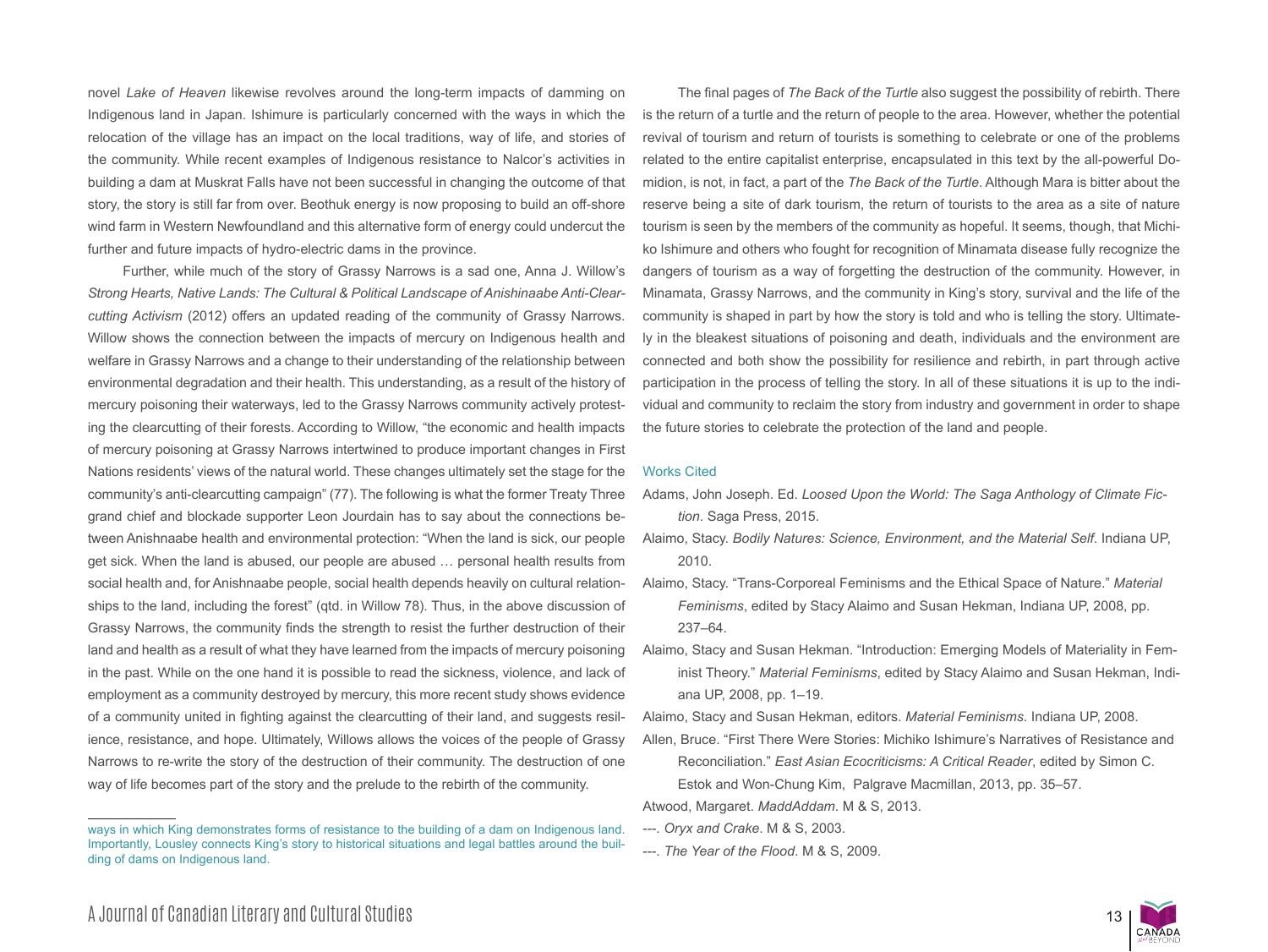novel *Lake of Heaven* likewise revolves around the long-term impacts of damming on Indigenous land in Japan. Ishimure is particularly concerned with the ways in which the relocation of the village has an impact on the local traditions, way of life, and stories of the community. While recent examples of Indigenous resistance to Nalcor's activities in building a dam at Muskrat Falls have not been successful in changing the outcome of that story, the story is still far from over. Beothuk energy is now proposing to build an off-shore wind farm in Western Newfoundland and this alternative form of energy could undercut the further and future impacts of hydro-electric dams in the province.

Further, while much of the story of Grassy Narrows is a sad one, Anna J. Willow's *Strong Hearts, Native Lands: The Cultural & Political Landscape of Anishinaabe Anti-Clearcutting Activism* (2012) offers an updated reading of the community of Grassy Narrows. Willow shows the connection between the impacts of mercury on Indigenous health and welfare in Grassy Narrows and a change to their understanding of the relationship between environmental degradation and their health. This understanding, as a result of the history of mercury poisoning their waterways, led to the Grassy Narrows community actively protesting the clearcutting of their forests. According to Willow, "the economic and health impacts of mercury poisoning at Grassy Narrows intertwined to produce important changes in First Nations residents' views of the natural world. These changes ultimately set the stage for the community's anti-clearcutting campaign" (77). The following is what the former Treaty Three grand chief and blockade supporter Leon Jourdain has to say about the connections between Anishnaabe health and environmental protection: "When the land is sick, our people get sick. When the land is abused, our people are abused … personal health results from social health and, for Anishnaabe people, social health depends heavily on cultural relationships to the land, including the forest" (qtd. in Willow 78). Thus, in the above discussion of Grassy Narrows, the community finds the strength to resist the further destruction of their land and health as a result of what they have learned from the impacts of mercury poisoning in the past. While on the one hand it is possible to read the sickness, violence, and lack of employment as a community destroyed by mercury, this more recent study shows evidence of a community united in fighting against the clearcutting of their land, and suggests resilience, resistance, and hope. Ultimately, Willows allows the voices of the people of Grassy Narrows to re-write the story of the destruction of their community. The destruction of one way of life becomes part of the story and the prelude to the rebirth of the community.

The final pages of *The Back of the Turtle* also suggest the possibility of rebirth. There is the return of a turtle and the return of people to the area. However, whether the potential revival of tourism and return of tourists is something to celebrate or one of the problems related to the entire capitalist enterprise, encapsulated in this text by the all-powerful Domidion, is not, in fact, a part of the *The Back of the Turtle*. Although Mara is bitter about the reserve being a site of dark tourism, the return of tourists to the area as a site of nature tourism is seen by the members of the community as hopeful. It seems, though, that Michiko Ishimure and others who fought for recognition of Minamata disease fully recognize the dangers of tourism as a way of forgetting the destruction of the community. However, in Minamata, Grassy Narrows, and the community in King's story, survival and the life of the community is shaped in part by how the story is told and who is telling the story. Ultimately in the bleakest situations of poisoning and death, individuals and the environment are connected and both show the possibility for resilience and rebirth, in part through active participation in the process of telling the story. In all of these situations it is up to the individual and community to reclaim the story from industry and government in order to shape the future stories to celebrate the protection of the land and people.

### Works Cited

- Adams, John Joseph. Ed. *Loosed Upon the World: The Saga Anthology of Climate Fiction*. Saga Press, 2015.
- Alaimo, Stacy. *Bodily Natures: Science, Environment, and the Material Self*. Indiana UP, 2010.
- Alaimo, Stacy. "Trans-Corporeal Feminisms and the Ethical Space of Nature." *Material Feminisms*, edited by Stacy Alaimo and Susan Hekman, Indiana UP, 2008, pp. 237–64.
- Alaimo, Stacy and Susan Hekman. "Introduction: Emerging Models of Materiality in Feminist Theory." *Material Feminisms*, edited by Stacy Alaimo and Susan Hekman, Indiana UP, 2008, pp. 1–19.

Alaimo, Stacy and Susan Hekman, editors. *Material Feminisms*. Indiana UP, 2008.

Allen, Bruce. "First There Were Stories: Michiko Ishimure's Narratives of Resistance and Reconciliation." *East Asian Ecocriticisms: A Critical Reader*, edited by Simon C. Estok and Won-Chung Kim, Palgrave Macmillan, 2013, pp. 35–57.

Atwood, Margaret. *MaddAddam*. M & S, 2013.

- ---. *Oryx and Crake*. M & S, 2003.
- ---. *The Year of the Flood*. M & S, 2009.



ways in which King demonstrates forms of resistance to the building of a dam on Indigenous land. Importantly, Lousley connects King's story to historical situations and legal battles around the building of dams on Indigenous land.